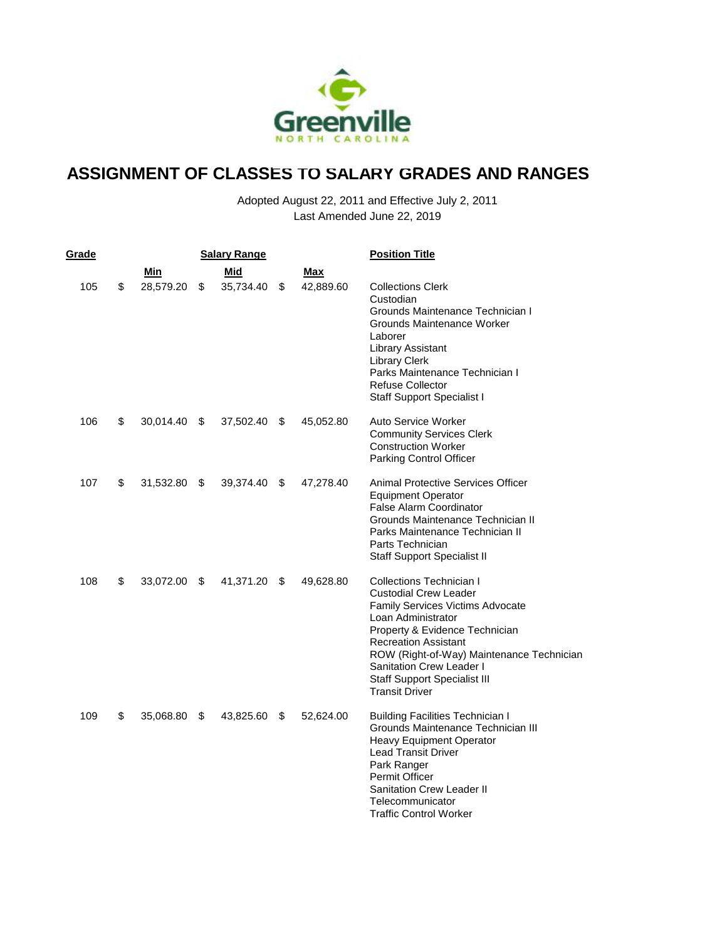

| Grade |                 | <b>Salary Range</b> |                 | <b>Position Title</b>                                                                                                                                                                                                                                                                                                               |
|-------|-----------------|---------------------|-----------------|-------------------------------------------------------------------------------------------------------------------------------------------------------------------------------------------------------------------------------------------------------------------------------------------------------------------------------------|
|       | Min             | Mid                 | Max             |                                                                                                                                                                                                                                                                                                                                     |
| 105   | \$<br>28,579.20 | \$<br>35,734.40     | \$<br>42,889.60 | <b>Collections Clerk</b><br>Custodian<br>Grounds Maintenance Technician I<br>Grounds Maintenance Worker<br>Laborer<br>Library Assistant<br><b>Library Clerk</b><br>Parks Maintenance Technician I<br><b>Refuse Collector</b><br><b>Staff Support Specialist I</b>                                                                   |
| 106   | \$<br>30,014.40 | \$<br>37,502.40     | \$<br>45,052.80 | Auto Service Worker<br><b>Community Services Clerk</b><br><b>Construction Worker</b><br>Parking Control Officer                                                                                                                                                                                                                     |
| 107   | \$<br>31,532.80 | \$<br>39,374.40     | \$<br>47,278.40 | <b>Animal Protective Services Officer</b><br><b>Equipment Operator</b><br><b>False Alarm Coordinator</b><br>Grounds Maintenance Technician II<br>Parks Maintenance Technician II<br>Parts Technician<br><b>Staff Support Specialist II</b>                                                                                          |
| 108   | \$<br>33,072.00 | \$<br>41,371.20     | \$<br>49,628.80 | Collections Technician I<br><b>Custodial Crew Leader</b><br><b>Family Services Victims Advocate</b><br>Loan Administrator<br>Property & Evidence Technician<br><b>Recreation Assistant</b><br>ROW (Right-of-Way) Maintenance Technician<br>Sanitation Crew Leader I<br><b>Staff Support Specialist III</b><br><b>Transit Driver</b> |
| 109   | \$<br>35,068.80 | \$<br>43,825.60     | \$<br>52,624.00 | <b>Building Facilities Technician I</b><br>Grounds Maintenance Technician III<br>Heavy Equipment Operator<br><b>Lead Transit Driver</b><br>Park Ranger<br><b>Permit Officer</b><br><b>Sanitation Crew Leader II</b><br>Telecommunicator<br><b>Traffic Control Worker</b>                                                            |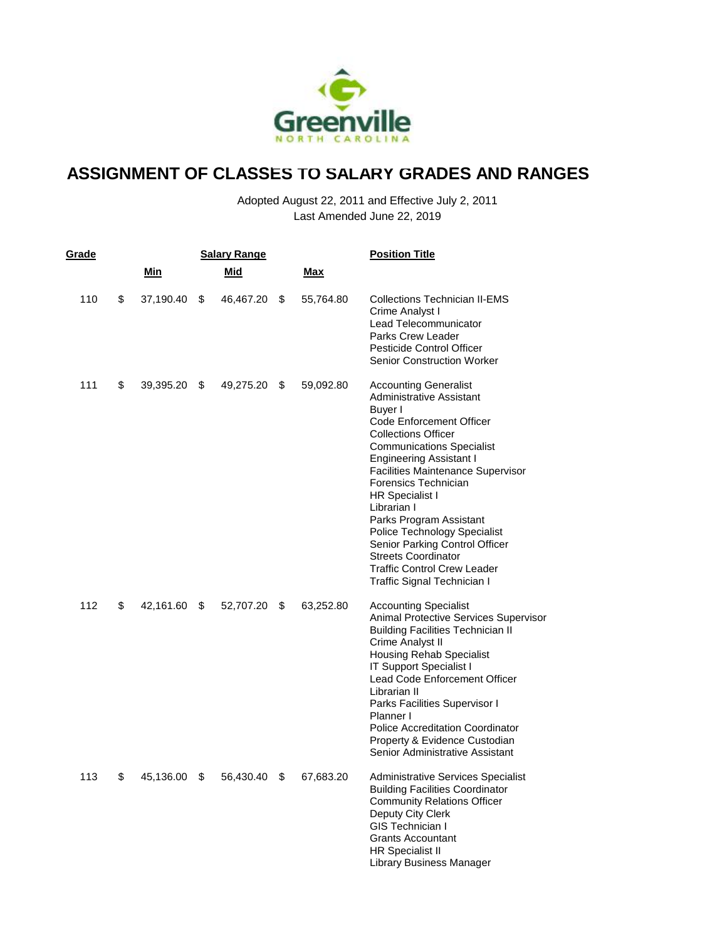

| Grade |     |            | <b>Salary Range</b> |     |           | <b>Position Title</b>                                                                                                                                                                                                                                                                                                                                                                                                                                                                                                   |
|-------|-----|------------|---------------------|-----|-----------|-------------------------------------------------------------------------------------------------------------------------------------------------------------------------------------------------------------------------------------------------------------------------------------------------------------------------------------------------------------------------------------------------------------------------------------------------------------------------------------------------------------------------|
|       |     | <u>Min</u> | Mid                 |     | Max       |                                                                                                                                                                                                                                                                                                                                                                                                                                                                                                                         |
| 110   | \$  | 37,190.40  | \$<br>46,467.20     | S.  | 55,764.80 | Collections Technician II-EMS<br>Crime Analyst I<br>Lead Telecommunicator<br><b>Parks Crew Leader</b><br><b>Pesticide Control Officer</b><br><b>Senior Construction Worker</b>                                                                                                                                                                                                                                                                                                                                          |
| 111   | \$  | 39,395.20  | \$<br>49,275.20     | \$  | 59,092.80 | <b>Accounting Generalist</b><br>Administrative Assistant<br>Buyer I<br><b>Code Enforcement Officer</b><br><b>Collections Officer</b><br><b>Communications Specialist</b><br><b>Engineering Assistant I</b><br>Facilities Maintenance Supervisor<br>Forensics Technician<br><b>HR Specialist I</b><br>Librarian I<br>Parks Program Assistant<br><b>Police Technology Specialist</b><br>Senior Parking Control Officer<br><b>Streets Coordinator</b><br><b>Traffic Control Crew Leader</b><br>Traffic Signal Technician I |
| 112   | \$  | 42,161.60  | \$<br>52,707.20     | \$  | 63,252.80 | <b>Accounting Specialist</b><br>Animal Protective Services Supervisor<br><b>Building Facilities Technician II</b><br>Crime Analyst II<br><b>Housing Rehab Specialist</b><br>IT Support Specialist I<br>Lead Code Enforcement Officer<br>Librarian II<br>Parks Facilities Supervisor I<br>Planner I<br><b>Police Accreditation Coordinator</b><br>Property & Evidence Custodian<br>Senior Administrative Assistant                                                                                                       |
| 113   | \$. | 45,136.00  | \$<br>56,430.40     | SS. | 67,683.20 | <b>Administrative Services Specialist</b><br><b>Building Facilities Coordinator</b><br><b>Community Relations Officer</b><br>Deputy City Clerk<br><b>GIS Technician I</b><br><b>Grants Accountant</b><br><b>HR Specialist II</b><br>Library Business Manager                                                                                                                                                                                                                                                            |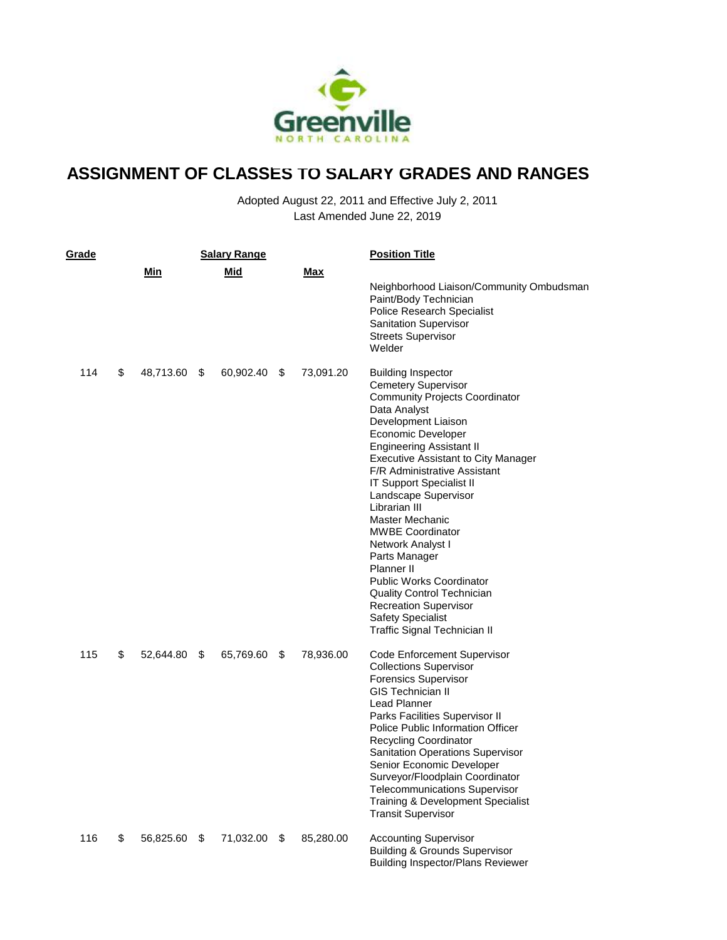

| Grade |    |           | <b>Salary Range</b> |                 | <b>Position Title</b>                                                                                                                                                                                                                                                                                                                                                                                                                                                                                                                                                                                                                          |
|-------|----|-----------|---------------------|-----------------|------------------------------------------------------------------------------------------------------------------------------------------------------------------------------------------------------------------------------------------------------------------------------------------------------------------------------------------------------------------------------------------------------------------------------------------------------------------------------------------------------------------------------------------------------------------------------------------------------------------------------------------------|
|       |    | Min       | Mid                 | Max             | Neighborhood Liaison/Community Ombudsman<br>Paint/Body Technician<br>Police Research Specialist<br>Sanitation Supervisor<br><b>Streets Supervisor</b><br>Welder                                                                                                                                                                                                                                                                                                                                                                                                                                                                                |
| 114   | \$ | 48,713.60 | \$<br>60,902.40     | \$<br>73,091.20 | <b>Building Inspector</b><br><b>Cemetery Supervisor</b><br><b>Community Projects Coordinator</b><br>Data Analyst<br>Development Liaison<br>Economic Developer<br><b>Engineering Assistant II</b><br><b>Executive Assistant to City Manager</b><br><b>F/R Administrative Assistant</b><br><b>IT Support Specialist II</b><br>Landscape Supervisor<br>Librarian III<br><b>Master Mechanic</b><br><b>MWBE Coordinator</b><br>Network Analyst I<br>Parts Manager<br>Planner II<br><b>Public Works Coordinator</b><br><b>Quality Control Technician</b><br><b>Recreation Supervisor</b><br><b>Safety Specialist</b><br>Traffic Signal Technician II |
| 115   | \$ | 52,644.80 | \$<br>65,769.60     | \$<br>78,936.00 | Code Enforcement Supervisor<br><b>Collections Supervisor</b><br><b>Forensics Supervisor</b><br><b>GIS Technician II</b><br><b>Lead Planner</b><br>Parks Facilities Supervisor II<br><b>Police Public Information Officer</b><br><b>Recycling Coordinator</b><br>Sanitation Operations Supervisor<br>Senior Economic Developer<br>Surveyor/Floodplain Coordinator<br><b>Telecommunications Supervisor</b><br><b>Training &amp; Development Specialist</b><br><b>Transit Supervisor</b>                                                                                                                                                          |
| 116   | S  | 56,825.60 | \$<br>71,032.00     | \$<br>85,280.00 | <b>Accounting Supervisor</b><br>Building & Grounds Supervisor<br>Building Inspector/Plans Reviewer                                                                                                                                                                                                                                                                                                                                                                                                                                                                                                                                             |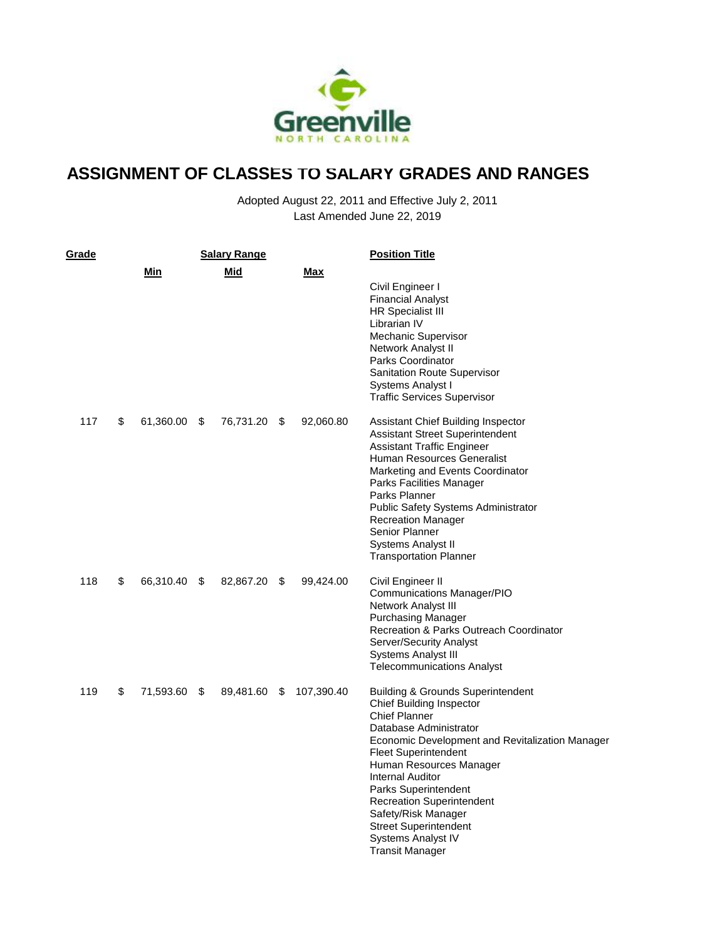

| Grade |                    | <b>Salary Range</b> |    |            | <b>Position Title</b>                                                                                                                                                                                                                                                                                                                                                                                                                    |
|-------|--------------------|---------------------|----|------------|------------------------------------------------------------------------------------------------------------------------------------------------------------------------------------------------------------------------------------------------------------------------------------------------------------------------------------------------------------------------------------------------------------------------------------------|
|       | Min                | Mid                 |    | Max        | Civil Engineer I<br><b>Financial Analyst</b><br><b>HR Specialist III</b><br>Librarian IV<br>Mechanic Supervisor<br>Network Analyst II<br>Parks Coordinator<br><b>Sanitation Route Supervisor</b><br>Systems Analyst I<br><b>Traffic Services Supervisor</b>                                                                                                                                                                              |
| 117   | \$<br>61,360.00 \$ | 76,731.20           | S. | 92,060.80  | Assistant Chief Building Inspector<br><b>Assistant Street Superintendent</b><br><b>Assistant Traffic Engineer</b><br>Human Resources Generalist<br>Marketing and Events Coordinator<br>Parks Facilities Manager<br>Parks Planner<br><b>Public Safety Systems Administrator</b><br><b>Recreation Manager</b><br>Senior Planner<br>Systems Analyst II<br><b>Transportation Planner</b>                                                     |
| 118   | \$<br>66,310.40 \$ | 82,867.20           | \$ | 99,424.00  | Civil Engineer II<br><b>Communications Manager/PIO</b><br>Network Analyst III<br><b>Purchasing Manager</b><br>Recreation & Parks Outreach Coordinator<br>Server/Security Analyst<br>Systems Analyst III<br><b>Telecommunications Analyst</b>                                                                                                                                                                                             |
| 119   | \$<br>71,593.60 \$ | 89,481.60           | \$ | 107,390.40 | Building & Grounds Superintendent<br><b>Chief Building Inspector</b><br><b>Chief Planner</b><br>Database Administrator<br>Economic Development and Revitalization Manager<br><b>Fleet Superintendent</b><br>Human Resources Manager<br><b>Internal Auditor</b><br><b>Parks Superintendent</b><br><b>Recreation Superintendent</b><br>Safety/Risk Manager<br><b>Street Superintendent</b><br>Systems Analyst IV<br><b>Transit Manager</b> |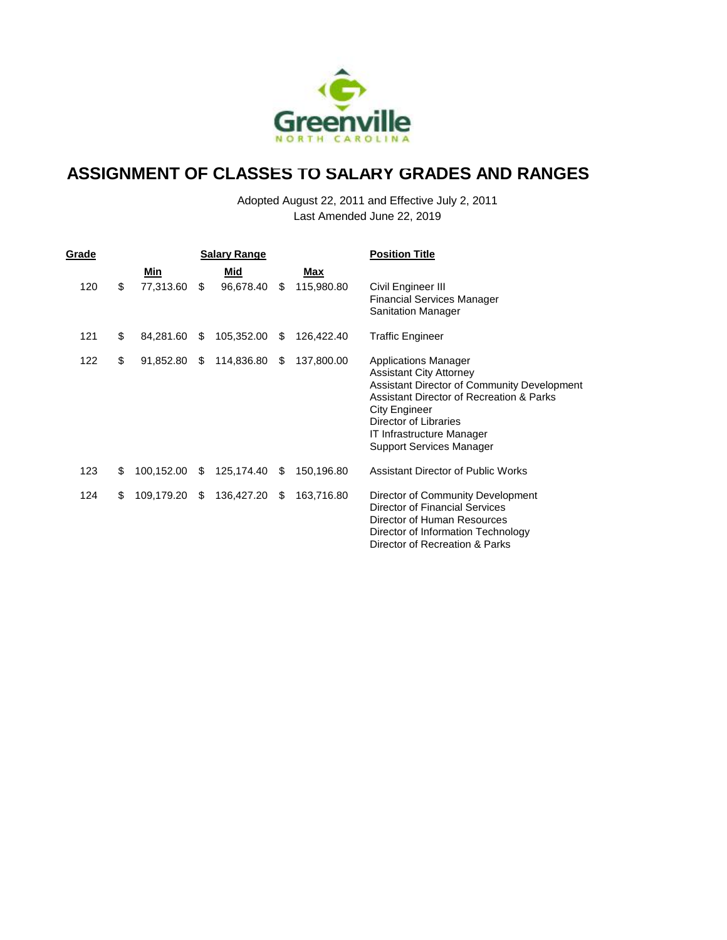

| Grade |                     |     | <b>Salary Range</b> |    |            | <b>Position Title</b>                                                                                                                                                                                                                                                     |  |  |
|-------|---------------------|-----|---------------------|----|------------|---------------------------------------------------------------------------------------------------------------------------------------------------------------------------------------------------------------------------------------------------------------------------|--|--|
|       | Min                 |     | Mid                 |    | Max        |                                                                                                                                                                                                                                                                           |  |  |
| 120   | \$<br>77,313.60     | \$  | 96,678.40           | S. | 115,980.80 | Civil Engineer III<br><b>Financial Services Manager</b><br><b>Sanitation Manager</b>                                                                                                                                                                                      |  |  |
| 121   | \$<br>84,281.60     | S   | 105,352.00          | \$ | 126,422.40 | <b>Traffic Engineer</b>                                                                                                                                                                                                                                                   |  |  |
| 122   | \$<br>91,852.80     | S.  | 114,836.80          | S. | 137,800.00 | <b>Applications Manager</b><br><b>Assistant City Attorney</b><br>Assistant Director of Community Development<br>Assistant Director of Recreation & Parks<br>City Engineer<br>Director of Libraries<br><b>IT Infrastructure Manager</b><br><b>Support Services Manager</b> |  |  |
| 123   | \$<br>100,152.00    | -SS | 125,174.40 \$       |    | 150,196.80 | Assistant Director of Public Works                                                                                                                                                                                                                                        |  |  |
| 124   | \$<br>109,179.20 \$ |     | 136,427.20 \$       |    | 163,716.80 | Director of Community Development<br>Director of Financial Services<br>Director of Human Resources<br>Director of Information Technology<br>Director of Recreation & Parks                                                                                                |  |  |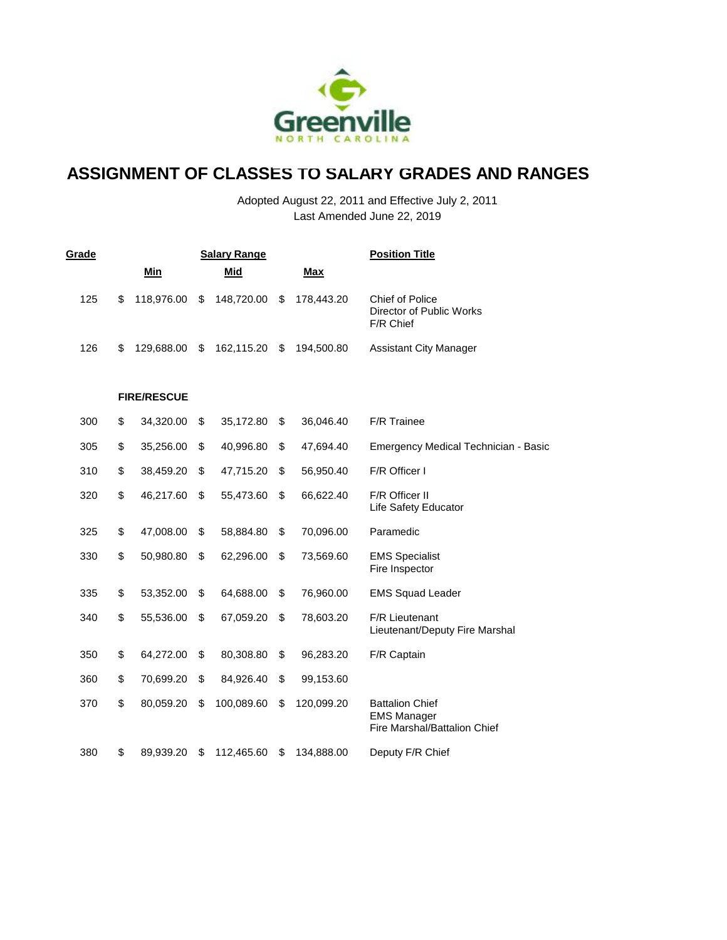

| Grade |                    | <b>Salary Range</b> |                  | <b>Position Title</b>                                                        |
|-------|--------------------|---------------------|------------------|------------------------------------------------------------------------------|
|       | <b>Min</b>         | Mid                 | <b>Max</b>       |                                                                              |
| 125   | \$<br>118,976.00   | \$<br>148,720.00    | \$<br>178,443.20 | <b>Chief of Police</b><br>Director of Public Works<br>F/R Chief              |
| 126   | \$<br>129,688.00   | \$<br>162,115.20    | \$<br>194,500.80 | <b>Assistant City Manager</b>                                                |
|       | <b>FIRE/RESCUE</b> |                     |                  |                                                                              |
| 300   | \$<br>34,320.00    | \$<br>35,172.80     | \$<br>36,046.40  | F/R Trainee                                                                  |
| 305   | \$<br>35,256.00    | \$<br>40,996.80     | \$<br>47,694.40  | Emergency Medical Technician - Basic                                         |
| 310   | \$<br>38,459.20    | \$<br>47,715.20     | \$<br>56,950.40  | F/R Officer I                                                                |
| 320   | \$<br>46,217.60    | \$<br>55,473.60     | \$<br>66,622.40  | F/R Officer II<br>Life Safety Educator                                       |
| 325   | \$<br>47,008.00    | \$<br>58,884.80     | \$<br>70,096.00  | Paramedic                                                                    |
| 330   | \$<br>50,980.80    | \$<br>62,296.00     | \$<br>73,569.60  | <b>EMS Specialist</b><br>Fire Inspector                                      |
| 335   | \$<br>53,352.00    | \$<br>64,688.00     | \$<br>76,960.00  | <b>EMS Squad Leader</b>                                                      |
| 340   | \$<br>55,536.00    | \$<br>67,059.20     | \$<br>78,603.20  | <b>F/R Lieutenant</b><br>Lieutenant/Deputy Fire Marshal                      |
| 350   | \$<br>64,272.00    | \$<br>80,308.80     | \$<br>96,283.20  | F/R Captain                                                                  |
| 360   | \$<br>70,699.20    | \$<br>84,926.40     | \$<br>99,153.60  |                                                                              |
| 370   | \$<br>80,059.20    | \$<br>100,089.60    | \$<br>120,099.20 | <b>Battalion Chief</b><br><b>EMS Manager</b><br>Fire Marshal/Battalion Chief |
| 380   | \$<br>89,939.20    | \$<br>112,465.60    | \$<br>134,888.00 | Deputy F/R Chief                                                             |